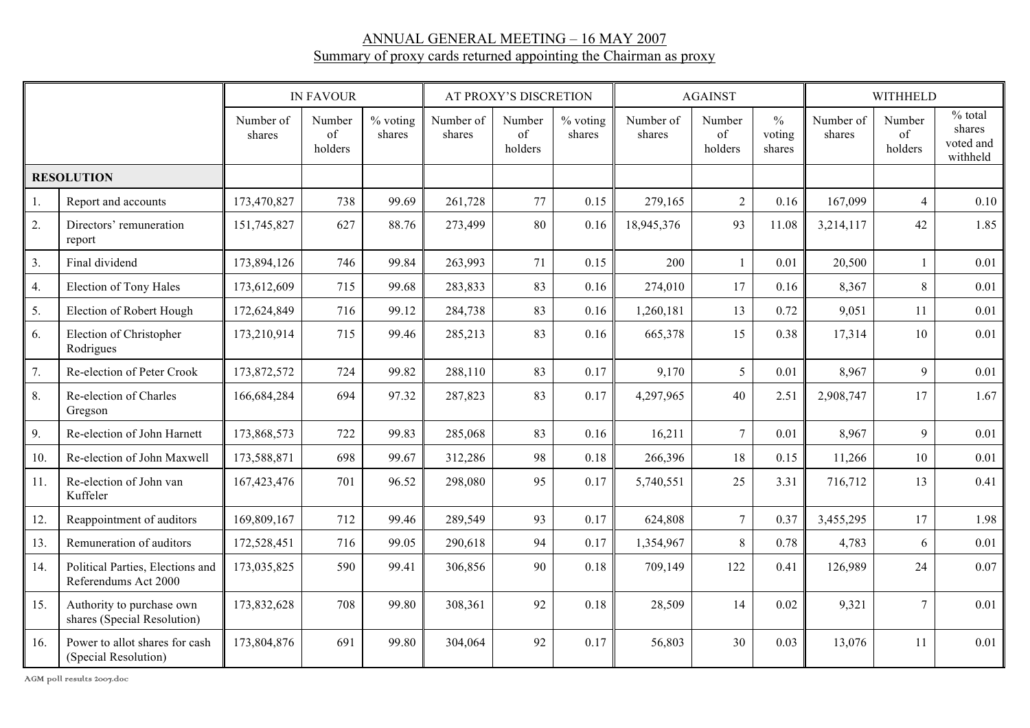## ANNUAL GENERAL MEETING – 16 MAY 2007 Summary of proxy cards returned appointing the Chairman as proxy

|                   | <b>IN FAVOUR</b>                                         |                     |                         | AT PROXY'S DISCRETION |                     |                         | <b>AGAINST</b>       |                     |                         | <b>WITHHELD</b>                   |                     |                         |                                            |
|-------------------|----------------------------------------------------------|---------------------|-------------------------|-----------------------|---------------------|-------------------------|----------------------|---------------------|-------------------------|-----------------------------------|---------------------|-------------------------|--------------------------------------------|
|                   |                                                          | Number of<br>shares | Number<br>of<br>holders | % voting<br>shares    | Number of<br>shares | Number<br>of<br>holders | $%$ voting<br>shares | Number of<br>shares | Number<br>of<br>holders | $\frac{0}{0}$<br>voting<br>shares | Number of<br>shares | Number<br>of<br>holders | % total<br>shares<br>voted and<br>withheld |
| <b>RESOLUTION</b> |                                                          |                     |                         |                       |                     |                         |                      |                     |                         |                                   |                     |                         |                                            |
| 1.                | Report and accounts                                      | 173,470,827         | 738                     | 99.69                 | 261,728             | 77                      | 0.15                 | 279,165             | $\overline{2}$          | 0.16                              | 167,099             | $\overline{4}$          | 0.10                                       |
| 2.                | Directors' remuneration<br>report                        | 151,745,827         | 627                     | 88.76                 | 273,499             | 80                      | 0.16                 | 18,945,376          | 93                      | 11.08                             | 3,214,117           | 42                      | 1.85                                       |
| 3.                | Final dividend                                           | 173,894,126         | 746                     | 99.84                 | 263,993             | 71                      | 0.15                 | 200                 | $\mathbf{1}$            | 0.01                              | 20,500              | 1                       | 0.01                                       |
| 4.                | <b>Election of Tony Hales</b>                            | 173,612,609         | 715                     | 99.68                 | 283,833             | 83                      | 0.16                 | 274,010             | 17                      | 0.16                              | 8,367               | 8                       | 0.01                                       |
| 5.                | Election of Robert Hough                                 | 172,624,849         | 716                     | 99.12                 | 284,738             | 83                      | 0.16                 | 1,260,181           | 13                      | 0.72                              | 9,051               | 11                      | 0.01                                       |
| 6.                | Election of Christopher<br>Rodrigues                     | 173,210,914         | 715                     | 99.46                 | 285,213             | 83                      | 0.16                 | 665,378             | 15                      | 0.38                              | 17,314              | 10                      | 0.01                                       |
| 7.                | Re-election of Peter Crook                               | 173,872,572         | 724                     | 99.82                 | 288,110             | 83                      | 0.17                 | 9,170               | 5                       | 0.01                              | 8,967               | 9                       | 0.01                                       |
| 8.                | Re-election of Charles<br>Gregson                        | 166,684,284         | 694                     | 97.32                 | 287,823             | 83                      | 0.17                 | 4,297,965           | 40                      | 2.51                              | 2,908,747           | 17                      | 1.67                                       |
| 9.                | Re-election of John Harnett                              | 173,868,573         | 722                     | 99.83                 | 285,068             | 83                      | 0.16                 | 16,211              | $\overline{7}$          | 0.01                              | 8,967               | 9                       | 0.01                                       |
| 10.               | Re-election of John Maxwell                              | 173,588,871         | 698                     | 99.67                 | 312,286             | 98                      | 0.18                 | 266,396             | 18                      | 0.15                              | 11,266              | 10                      | 0.01                                       |
| 11.               | Re-election of John van<br>Kuffeler                      | 167,423,476         | 701                     | 96.52                 | 298,080             | 95                      | 0.17                 | 5,740,551           | 25                      | 3.31                              | 716,712             | 13                      | 0.41                                       |
| 12.               | Reappointment of auditors                                | 169,809,167         | 712                     | 99.46                 | 289,549             | 93                      | 0.17                 | 624,808             | $\overline{7}$          | 0.37                              | 3,455,295           | 17                      | 1.98                                       |
| 13.               | Remuneration of auditors                                 | 172,528,451         | 716                     | 99.05                 | 290,618             | 94                      | 0.17                 | 1,354,967           | 8                       | 0.78                              | 4,783               | 6                       | 0.01                                       |
| 14.               | Political Parties, Elections and<br>Referendums Act 2000 | 173,035,825         | 590                     | 99.41                 | 306,856             | 90                      | 0.18                 | 709,149             | 122                     | 0.41                              | 126,989             | 24                      | 0.07                                       |
| 15.               | Authority to purchase own<br>shares (Special Resolution) | 173,832,628         | 708                     | 99.80                 | 308,361             | 92                      | 0.18                 | 28,509              | 14                      | 0.02                              | 9,321               | $\tau$                  | 0.01                                       |
| 16.               | Power to allot shares for cash<br>(Special Resolution)   | 173,804,876         | 691                     | 99.80                 | 304,064             | 92                      | 0.17                 | 56,803              | 30                      | 0.03                              | 13,076              | 11                      | 0.01                                       |